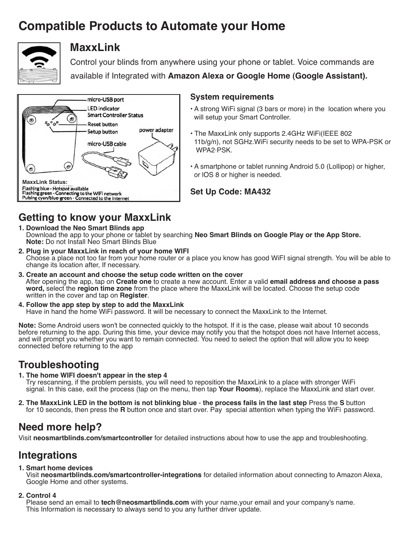# **Compatible Products to Automate your Home**



### **MaxxLink**

Control your blinds from anywhere using your phone or tablet. Voice commands are available if Integrated with **Amazon Alexa or Google Home (Google Assistant).**



#### **System requirements**

- A strong WiFi signal (3 bars or more) in the location where you will setup your Smart Controller.
- The MaxxLink only supports 2.4GHz WiFi(IEEE 802 11b/g/n), not SGHz.WiFi security needs to be set to WPA-PSK or WPA2·PSK.
- A smartphone or tablet running Android 5.0 (Lollipop) or higher, or lOS 8 or higher is needed.

**Set Up Code: MA432**

# **Getting to know your MaxxLink**

- **1. Download the Neo Smart Blinds app** Download the app to your phone or tablet by searching **Neo Smart Blinds on Google Play or the App Store. Note:** Do not Install Neo Smart Blinds Blue
- **2. Plug in your MaxxLink in reach of your home WIFI**  Choose a place not too far from your home router or a place you know has good WiFI signal strength. You will be able to change its location after, If necessary.
- **3. Create an account and choose the setup code written on the cover** After opening the app, tap on **Create one** to create a new account. Enter a valid **email address and choose a pass word,** select the **region time zone** from the place where the MaxxLink will be located. Choose the setup code written in the cover and tap on **Register**.
- **4. Follow the app step by step to add the MaxxLink** Have in hand the home WiFi password. It will be necessary to connect the MaxxLink to the Internet.

**Note:** Some Android users won't be connected quickly to the hotspot. If it is the case, please wait about 10 seconds before returning to the app. During this time, your device may notify you that the hotspot does not have Internet access, and will prompt you whether you want to remain connected. You need to select the option that will allow you to keep connected before returning to the app

## **Troubleshooting**

- **1. The home WIFI doesn't appear in the step 4** Try rescanning, if the problem persists, you will need to reposition the MaxxLink to a place with stronger WiFi signal. In this case, exit the process (tap on the menu, then tap **Your Rooms**), replace the MaxxLink and start over.
- **2. The MaxxLink LED in the bottom is not blinking blue the process fails in the last step** Press the **S** button for 10 seconds, then press the **R** button once and start over. Pay special attention when typing the WiFi password.

## **Need more help?**

Visit **neosmartblinds.com/smartcontroller** for detailed instructions about how to use the app and troubleshooting.

## **Integrations**

#### **1. Smart home devices**

Visit **neosmartblinds.com/smartcontroller-integrations** for detailed information about connecting to Amazon Alexa, Google Home and other systems.

#### **2. Control 4**

Please send an email to **tech@neosmartblinds.com** with your name,your email and your company's name. This Information is necessary to always send to you any further driver update.